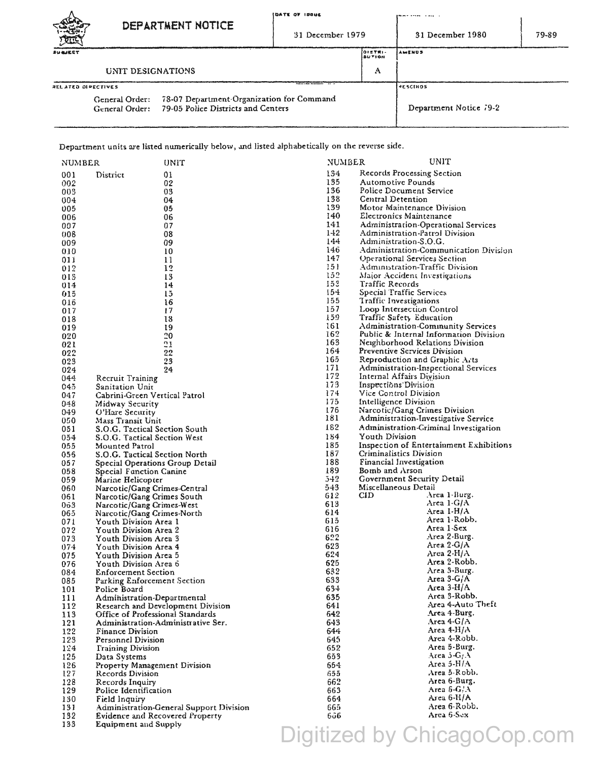| POTE               |                                                                                                                  | IDATE OF IDOUE<br>DEPARTMENT NOTICE |  | 31 December 1979         | .<br>$\overline{a}$ and $\overline{a}$<br>31 December 1980 | 79-89 |
|--------------------|------------------------------------------------------------------------------------------------------------------|-------------------------------------|--|--------------------------|------------------------------------------------------------|-------|
| <b>SUBJECT</b>     |                                                                                                                  |                                     |  | 0157R1<br><b>IBUTION</b> | <b>AMENUS</b>                                              |       |
| UNIT DESIGNATIONS  |                                                                                                                  |                                     |  | А                        |                                                            |       |
| RELATED DIPECTIVES |                                                                                                                  |                                     |  |                          | i +e scinos                                                |       |
|                    | 78-07 Department Organization for Command<br>General Order:<br>General Order: 79-05 Police Districts and Centers |                                     |  |                          | Department Notice 79-2                                     |       |

Department units are listed numerically below, and listed alphabetically on the reverse side.

| NUMBER |                                        | UNIT                                    | NUMBER | UNIT                                    |
|--------|----------------------------------------|-----------------------------------------|--------|-----------------------------------------|
| 001    | District                               | 01                                      | 134    | Records Processing Section              |
| 002    |                                        | 02                                      | 135    | Automotive Pounds                       |
| 003    |                                        | 03                                      | 136    | Police Document Service                 |
| 004    |                                        | 04                                      | 138    | <b>Central Detention</b>                |
| 005    |                                        | 05                                      | 139    | Motor Maintenance Division              |
| 006    |                                        | 06                                      | 140    | Electronics Maintenance                 |
| 007    |                                        | 07                                      | 141    | Administration-Operational Services     |
| 008    |                                        | 08                                      | $1-12$ | Administration-Patrol Division          |
| 009    |                                        | 09                                      | 144    | Administration-S.O.G.                   |
| 010    |                                        | 10                                      | 146    | Administration-Communication Division   |
| 011    |                                        | 11                                      | 147    | Operational Services Section            |
| 012    |                                        | 12                                      | 151    | Administration-Traffic Division         |
| 013    |                                        | 13                                      | 152    | Major Accident Investigations           |
| 014    |                                        | 14                                      | 153    | Traffic Records                         |
| 015    |                                        | 15                                      | 154    | Special Traffic Services                |
| 016    |                                        | 16                                      | 155    | Traffic Investigations                  |
| 017    |                                        | 17                                      | 157    | Loop Intersection Control               |
| 018    |                                        | 18                                      | 159    | Traffic Safety Education                |
| 019    |                                        | 19                                      | 161    | Administration-Community Services       |
| 020    |                                        | 20                                      | 162    | Public & Internal Information Division  |
| 021    |                                        | 21                                      | 163    | Neighborhood Relations Division         |
|        |                                        |                                         | 164    | Preventive Services Division            |
| 022    |                                        | 22                                      | 165    | Reproduction and Graphic Arts           |
| 023    |                                        | 23                                      | 171    | Administration-Inspectional Services    |
| 024    |                                        | 24                                      | 172    | Internal Affairs Division               |
| 044    | Recruit Training                       |                                         | 173    | Inspections Division                    |
| 045    | Sanitation Unit                        |                                         | 174    | Vice Control Division                   |
| 047    | Cabrini-Green Vertical Patrol          |                                         | 175    | Intelligence Division                   |
| 048    | Midway Security                        |                                         | 176    | Narcotic/Gang Crimes Division           |
| 049    | O'Hare Security                        |                                         | 181    | Administration-Investigative Service    |
| 050    | Mass Transit Unit                      |                                         | 182    |                                         |
| 051    | S.O.G. Tactical Section South          |                                         |        | Administration-Criminal Investigation   |
| 054    | S.O.G. Tactical Section West           |                                         | 184    | Youth Division                          |
| 055    | Mounted Patrol                         |                                         | 185    | Inspection of Entertainment Exhibitions |
| 056    | S.O.G. Tactical Section North          |                                         | 187    | Criminalistics Division                 |
| 057    | Special Operations Group Detail        |                                         | 188    | Financial Investigation                 |
| 058    | Special Function Canine                |                                         | 189    | Bomb and Arson                          |
| 059.   | Marine Helicopter                      |                                         | 542    | Government Security Detail              |
| 060    | Narcotic/Gang Crimes-Central           |                                         | 543    | Miscellaneous Detail                    |
| 061    | Narcotic/Gang Crimes South             |                                         | 612    | Area 1-Burg.<br>CID                     |
| 063    | Narcotic/Gang Crimes-West              |                                         | 613    | Area 1-G/A                              |
| 065    | Narcotic/Gang Crimes-North             |                                         | 614    | Area I-H/A                              |
| 071    | Youth Division Area 1                  |                                         | 615    | Area 1-Robb.                            |
| 072    | Youth Division Area 2                  |                                         | 616    | Area 1-Sex                              |
| 073    | Youth Division Area 3                  |                                         | 622    | Area 2-Burg.                            |
| 074    | Youth Division Area 4                  |                                         | 623    | Area $2\text{-}G/A$                     |
| 075    | Youth Division Area 5                  |                                         | 624    | Area 2-H/A                              |
| 076    | Youth Division Area 6                  |                                         | 625    | Area 2-Robb.                            |
| 084    | <b>Enforcement Section</b>             |                                         | 632    | Area 3-Burg.                            |
| 085    | Parking Enforcement Section            |                                         | 633    | Area 3-G/A                              |
| 101    | Police Board                           |                                         | 634    | Area 3-H/A                              |
| 111    | Administration-Departmental            |                                         | 635    | Area 3-Robb.                            |
| 112    |                                        | Research and Development Division       | 641    | Area 4-Auto Theft                       |
| 113    | Office of Professional Standards       |                                         | 642    | Area 4-Burg.                            |
| 121    |                                        | Administration-Administrative Ser.      | 643    | Area 4- $G/A$                           |
| 122    | <b>Finance Division</b>                |                                         | 644    | Area 4- $H/A$                           |
| 123    | Personnel Division                     |                                         | 645    | Area 4-Robb.                            |
| 124    | <b>Training Division</b>               |                                         | 652    | Area 5-Burg.                            |
| 125    | Data Systems                           |                                         | 653    | Area 5- $G/A$                           |
| 126    | Property Management Division           |                                         | 654.   | Area 5-H/A                              |
| 127    | Records Division                       |                                         | 655    | Area 5-Robb.                            |
| 128    | Records Inquiry                        |                                         | 662    | Area 6-Burg.                            |
| 129    | Police Identification                  |                                         | 663    | Area 6-G/A                              |
| 130    | Field Inquiry                          |                                         | 664    | Area 6-H/A                              |
| 131    |                                        | Administration-General Support Division | 665.   | Area 6-Robb.                            |
| 132    | <b>Evidence and Recovered Property</b> |                                         | 606    | Area 6-Sex                              |
| 133    | Equipment and Supply                   |                                         |        |                                         |